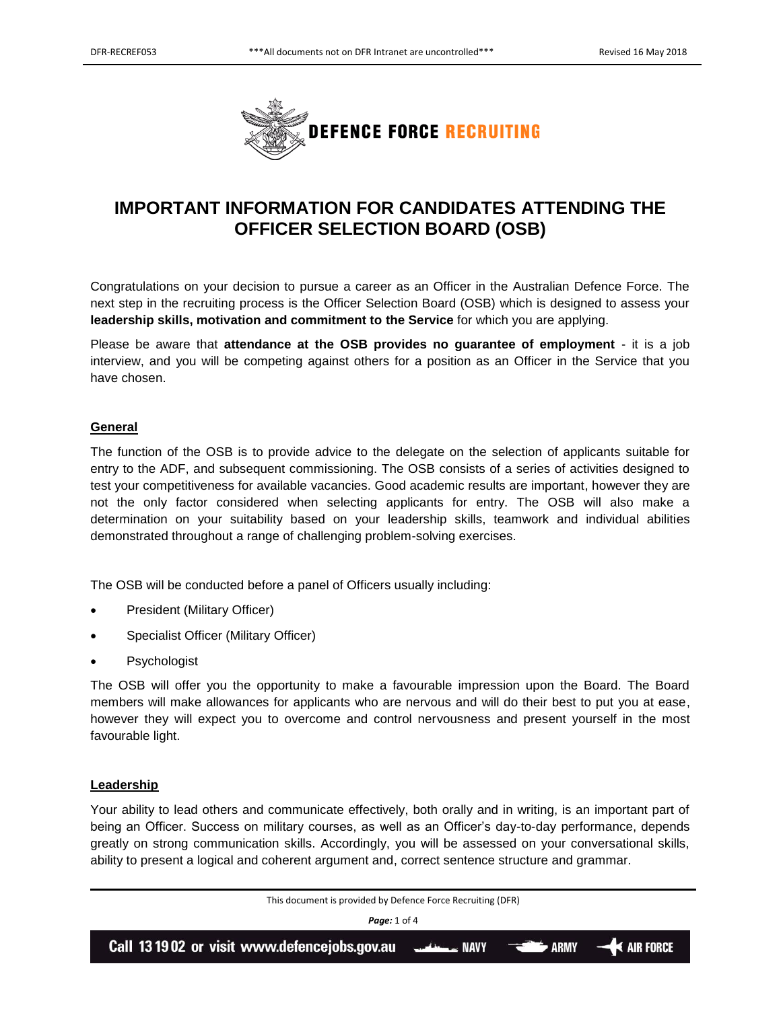

# **IMPORTANT INFORMATION FOR CANDIDATES ATTENDING THE OFFICER SELECTION BOARD (OSB)**

Congratulations on your decision to pursue a career as an Officer in the Australian Defence Force. The next step in the recruiting process is the Officer Selection Board (OSB) which is designed to assess your **leadership skills, motivation and commitment to the Service** for which you are applying.

Please be aware that **attendance at the OSB provides no guarantee of employment** - it is a job interview, and you will be competing against others for a position as an Officer in the Service that you have chosen.

## **General**

The function of the OSB is to provide advice to the delegate on the selection of applicants suitable for entry to the ADF, and subsequent commissioning. The OSB consists of a series of activities designed to test your competitiveness for available vacancies. Good academic results are important, however they are not the only factor considered when selecting applicants for entry. The OSB will also make a determination on your suitability based on your leadership skills, teamwork and individual abilities demonstrated throughout a range of challenging problem-solving exercises.

The OSB will be conducted before a panel of Officers usually including:

- President (Military Officer)
- Specialist Officer (Military Officer)
- Psychologist

The OSB will offer you the opportunity to make a favourable impression upon the Board. The Board members will make allowances for applicants who are nervous and will do their best to put you at ease, however they will expect you to overcome and control nervousness and present yourself in the most favourable light.

## **Leadership**

Your ability to lead others and communicate effectively, both orally and in writing, is an important part of being an Officer. Success on military courses, as well as an Officer's day-to-day performance, depends greatly on strong communication skills. Accordingly, you will be assessed on your conversational skills, ability to present a logical and coherent argument and, correct sentence structure and grammar.

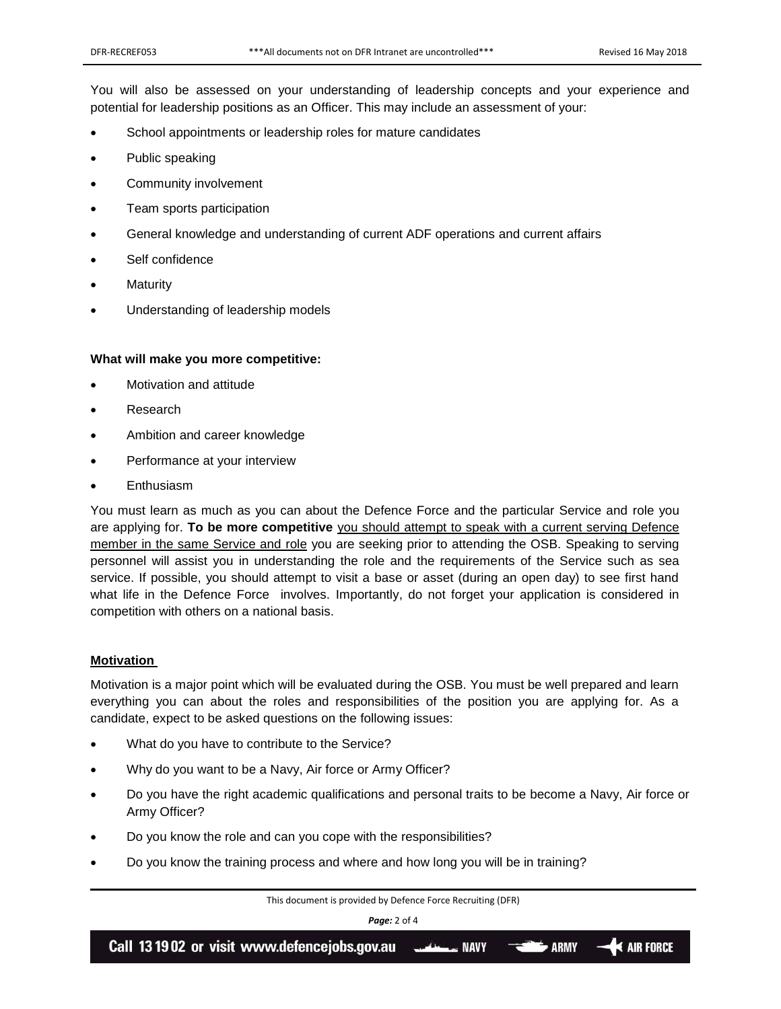You will also be assessed on your understanding of leadership concepts and your experience and potential for leadership positions as an Officer. This may include an assessment of your:

- School appointments or leadership roles for mature candidates
- Public speaking
- Community involvement
- Team sports participation
- General knowledge and understanding of current ADF operations and current affairs
- Self confidence
- **Maturity**
- Understanding of leadership models

#### **What will make you more competitive:**

- Motivation and attitude
- Research
- Ambition and career knowledge
- Performance at your interview
- **Enthusiasm**

You must learn as much as you can about the Defence Force and the particular Service and role you are applying for. **To be more competitive** you should attempt to speak with a current serving Defence member in the same Service and role you are seeking prior to attending the OSB. Speaking to serving personnel will assist you in understanding the role and the requirements of the Service such as sea service. If possible, you should attempt to visit a base or asset (during an open day) to see first hand what life in the Defence Force involves. Importantly, do not forget your application is considered in competition with others on a national basis.

#### **Motivation**

Motivation is a major point which will be evaluated during the OSB. You must be well prepared and learn everything you can about the roles and responsibilities of the position you are applying for. As a candidate, expect to be asked questions on the following issues:

- What do you have to contribute to the Service?
- Why do you want to be a Navy, Air force or Army Officer?
- Do you have the right academic qualifications and personal traits to be become a Navy, Air force or Army Officer?
- Do you know the role and can you cope with the responsibilities?
- Do you know the training process and where and how long you will be in training?

This document is provided by Defence Force Recruiting (DFR)

*Page:* 2 of 4

Call 13 19 02 or visit www.defencejobs.gov.au  $\blacktriangleleft$  air force **ARMY NAVY**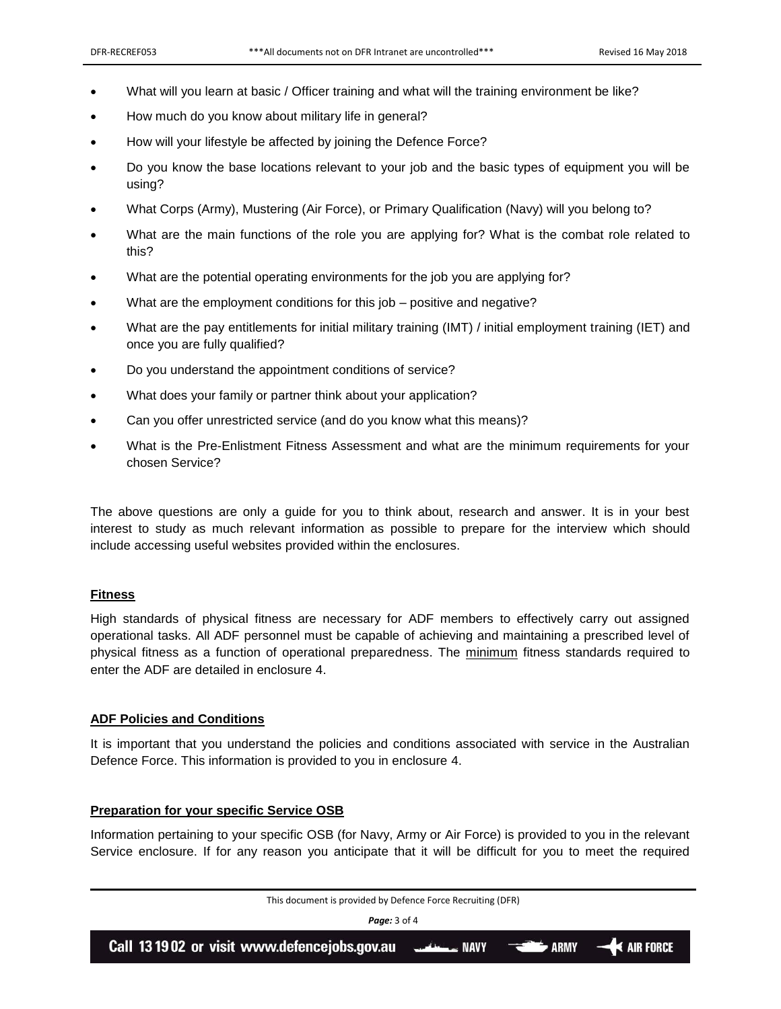- What will you learn at basic / Officer training and what will the training environment be like?
- How much do you know about military life in general?
- How will your lifestyle be affected by joining the Defence Force?
- Do you know the base locations relevant to your job and the basic types of equipment you will be using?
- What Corps (Army), Mustering (Air Force), or Primary Qualification (Navy) will you belong to?
- What are the main functions of the role you are applying for? What is the combat role related to this?
- What are the potential operating environments for the job you are applying for?
- What are the employment conditions for this job positive and negative?
- What are the pay entitlements for initial military training (IMT) / initial employment training (IET) and once you are fully qualified?
- Do you understand the appointment conditions of service?
- What does your family or partner think about your application?
- Can you offer unrestricted service (and do you know what this means)?
- What is the Pre-Enlistment Fitness Assessment and what are the minimum requirements for your chosen Service?

The above questions are only a guide for you to think about, research and answer. It is in your best interest to study as much relevant information as possible to prepare for the interview which should include accessing useful websites provided within the enclosures.

## **Fitness**

High standards of physical fitness are necessary for ADF members to effectively carry out assigned operational tasks. All ADF personnel must be capable of achieving and maintaining a prescribed level of physical fitness as a function of operational preparedness. The minimum fitness standards required to enter the ADF are detailed in enclosure 4.

## **ADF Policies and Conditions**

It is important that you understand the policies and conditions associated with service in the Australian Defence Force. This information is provided to you in enclosure 4.

## **Preparation for your specific Service OSB**

Information pertaining to your specific OSB (for Navy, Army or Air Force) is provided to you in the relevant Service enclosure. If for any reason you anticipate that it will be difficult for you to meet the required

| This document is provided by Defence Force Recruiting (DFR) |  |  |  |
|-------------------------------------------------------------|--|--|--|
| <b>Page:</b> 3 of 4                                         |  |  |  |
| ARMY 44 AIR FORCE                                           |  |  |  |